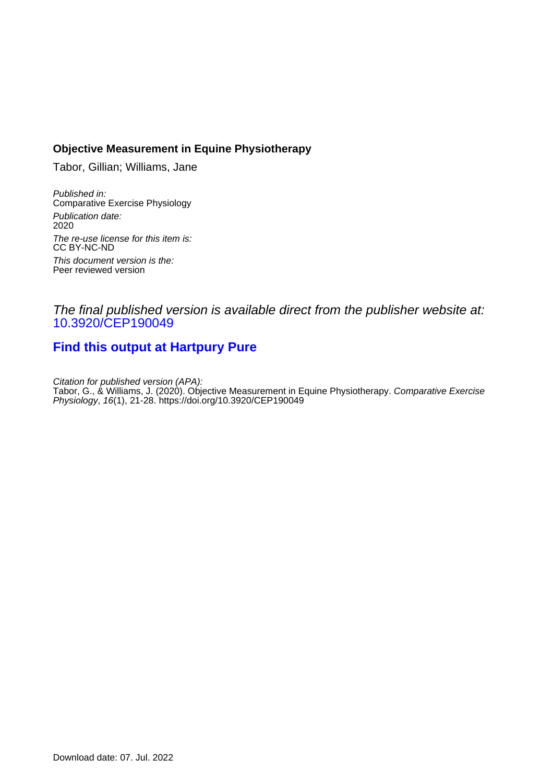## **Objective Measurement in Equine Physiotherapy**

Tabor, Gillian; Williams, Jane

Published in: Comparative Exercise Physiology Publication date: 2020 The re-use license for this item is: CC BY-NC-ND This document version is the: Peer reviewed version

## The final published version is available direct from the publisher website at: [10.3920/CEP190049](https://doi.org/10.3920/CEP190049)

# **[Find this output at Hartpury Pure](https://hartpury.pure.elsevier.com/en/publications/86a13adb-232a-4a7a-8b25-3976050d2b47)**

Citation for published version (APA): Tabor, G., & Williams, J. (2020). Objective Measurement in Equine Physiotherapy. *Comparative Exercise* Physiology, 16(1), 21-28. <https://doi.org/10.3920/CEP190049>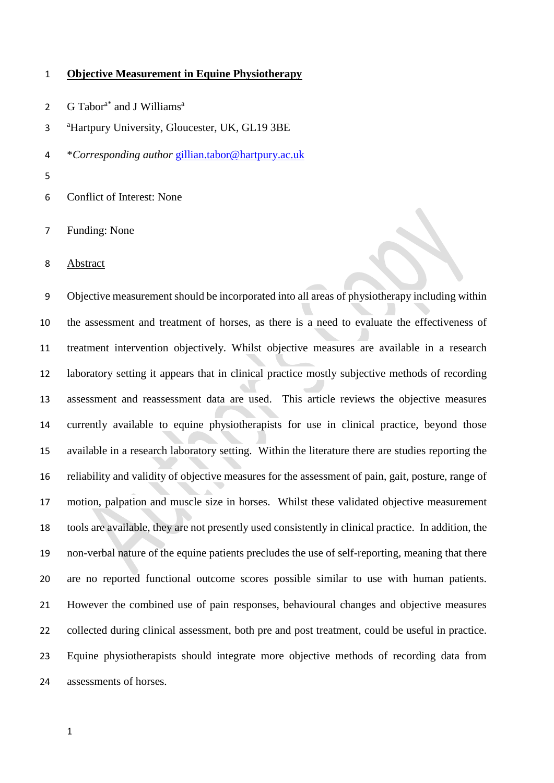#### **Objective Measurement in Equine Physiotherapy**

G Tabor<sup>a\*</sup> and J Williams<sup>a</sup> 

<sup>a</sup> Hartpury University, Gloucester, UK, GL19 3BE

- \**Corresponding author* [gillian.tabor@hartpury.ac.uk](mailto:gillian.tabor@hartpury.ac.uk)
- 
- Conflict of Interest: None
- Funding: None
- Abstract

 Objective measurement should be incorporated into all areas of physiotherapy including within the assessment and treatment of horses, as there is a need to evaluate the effectiveness of treatment intervention objectively. Whilst objective measures are available in a research laboratory setting it appears that in clinical practice mostly subjective methods of recording assessment and reassessment data are used. This article reviews the objective measures currently available to equine physiotherapists for use in clinical practice, beyond those available in a research laboratory setting. Within the literature there are studies reporting the reliability and validity of objective measures for the assessment of pain, gait, posture, range of motion, palpation and muscle size in horses. Whilst these validated objective measurement tools are available, they are not presently used consistently in clinical practice. In addition, the non-verbal nature of the equine patients precludes the use of self-reporting, meaning that there are no reported functional outcome scores possible similar to use with human patients. However the combined use of pain responses, behavioural changes and objective measures collected during clinical assessment, both pre and post treatment, could be useful in practice. Equine physiotherapists should integrate more objective methods of recording data from assessments of horses.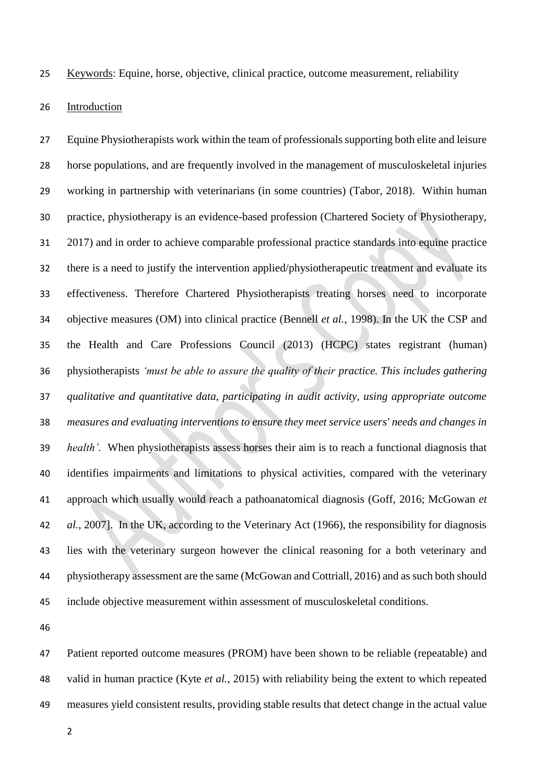Keywords: Equine, horse, objective, clinical practice, outcome measurement, reliability

### Introduction

 Equine Physiotherapists work within the team of professionals supporting both elite and leisure horse populations, and are frequently involved in the management of musculoskeletal injuries working in partnership with veterinarians (in some countries) (Tabor, 2018). Within human practice, physiotherapy is an evidence-based profession (Chartered Society of Physiotherapy, 2017) and in order to achieve comparable professional practice standards into equine practice there is a need to justify the intervention applied/physiotherapeutic treatment and evaluate its effectiveness. Therefore Chartered Physiotherapists treating horses need to incorporate objective measures (OM) into clinical practice (Bennell *et al.*, 1998). In the UK the CSP and the Health and Care Professions Council (2013) (HCPC) states registrant (human) physiotherapists *'must be able to assure the quality of their practice. This includes gathering qualitative and quantitative data, participating in audit activity, using appropriate outcome measures and evaluating interventions to ensure they meet service users' needs and changes in health'.* When physiotherapists assess horses their aim is to reach a functional diagnosis that identifies impairments and limitations to physical activities, compared with the veterinary approach which usually would reach a pathoanatomical diagnosis (Goff, 2016; McGowan *et al.*, 2007]. In the UK, according to the Veterinary Act (1966), the responsibility for diagnosis lies with the veterinary surgeon however the clinical reasoning for a both veterinary and physiotherapy assessment are the same (McGowan and Cottriall, 2016) and as such both should include objective measurement within assessment of musculoskeletal conditions.

 Patient reported outcome measures (PROM) have been shown to be reliable (repeatable) and valid in human practice (Kyte *et al.*, 2015) with reliability being the extent to which repeated measures yield consistent results, providing stable results that detect change in the actual value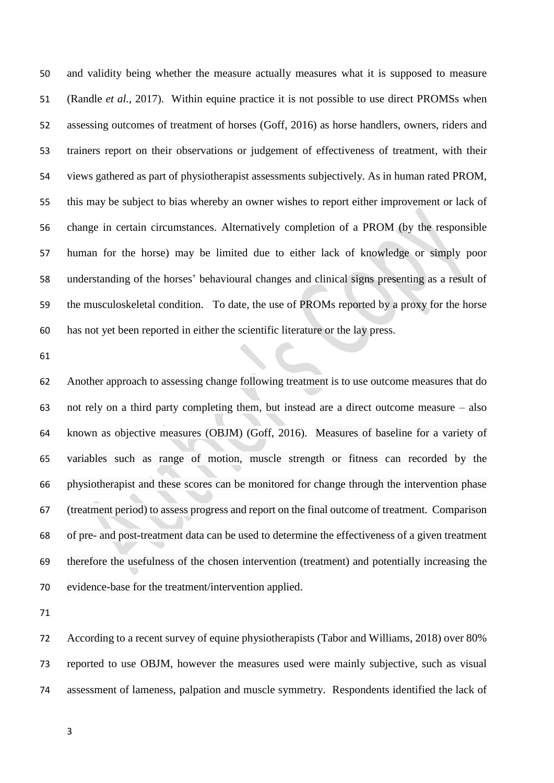and validity being whether the measure actually measures what it is supposed to measure (Randle *et al.*, 2017). Within equine practice it is not possible to use direct PROMSs when assessing outcomes of treatment of horses (Goff, 2016) as horse handlers, owners, riders and trainers report on their observations or judgement of effectiveness of treatment, with their views gathered as part of physiotherapist assessments subjectively. As in human rated PROM, this may be subject to bias whereby an owner wishes to report either improvement or lack of change in certain circumstances. Alternatively completion of a PROM (by the responsible human for the horse) may be limited due to either lack of knowledge or simply poor understanding of the horses' behavioural changes and clinical signs presenting as a result of the musculoskeletal condition. To date, the use of PROMs reported by a proxy for the horse has not yet been reported in either the scientific literature or the lay press.

 Another approach to assessing change following treatment is to use outcome measures that do not rely on a third party completing them, but instead are a direct outcome measure – also known as objective measures (OBJM) (Goff, 2016). Measures of baseline for a variety of variables such as range of motion, muscle strength or fitness can recorded by the physiotherapist and these scores can be monitored for change through the intervention phase (treatment period) to assess progress and report on the final outcome of treatment. Comparison of pre- and post-treatment data can be used to determine the effectiveness of a given treatment therefore the usefulness of the chosen intervention (treatment) and potentially increasing the evidence-base for the treatment/intervention applied.

 According to a recent survey of equine physiotherapists (Tabor and Williams, 2018) over 80% reported to use OBJM, however the measures used were mainly subjective, such as visual assessment of lameness, palpation and muscle symmetry. Respondents identified the lack of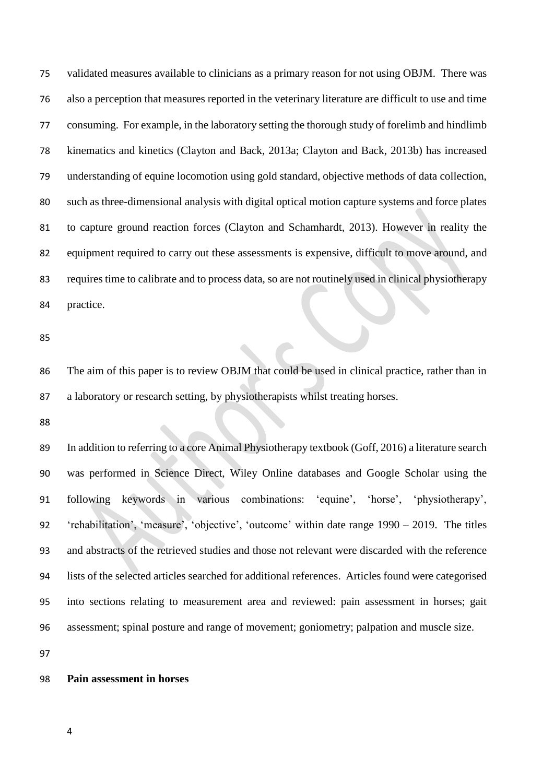validated measures available to clinicians as a primary reason for not using OBJM. There was also a perception that measures reported in the veterinary literature are difficult to use and time consuming. For example, in the laboratory setting the thorough study of forelimb and hindlimb kinematics and kinetics (Clayton and Back, 2013a; Clayton and Back, 2013b) has increased understanding of equine locomotion using gold standard, objective methods of data collection, such as three-dimensional analysis with digital optical motion capture systems and force plates to capture ground reaction forces (Clayton and Schamhardt, 2013). However in reality the equipment required to carry out these assessments is expensive, difficult to move around, and requires time to calibrate and to process data, so are not routinely used in clinical physiotherapy practice.

 The aim of this paper is to review OBJM that could be used in clinical practice, rather than in a laboratory or research setting, by physiotherapists whilst treating horses.

 In addition to referring to a core Animal Physiotherapy textbook (Goff, 2016) a literature search was performed in Science Direct, Wiley Online databases and Google Scholar using the following keywords in various combinations: 'equine', 'horse', 'physiotherapy', 'rehabilitation', 'measure', 'objective', 'outcome' within date range 1990 – 2019. The titles and abstracts of the retrieved studies and those not relevant were discarded with the reference lists of the selected articles searched for additional references. Articles found were categorised into sections relating to measurement area and reviewed: pain assessment in horses; gait assessment; spinal posture and range of movement; goniometry; palpation and muscle size.

### **Pain assessment in horses**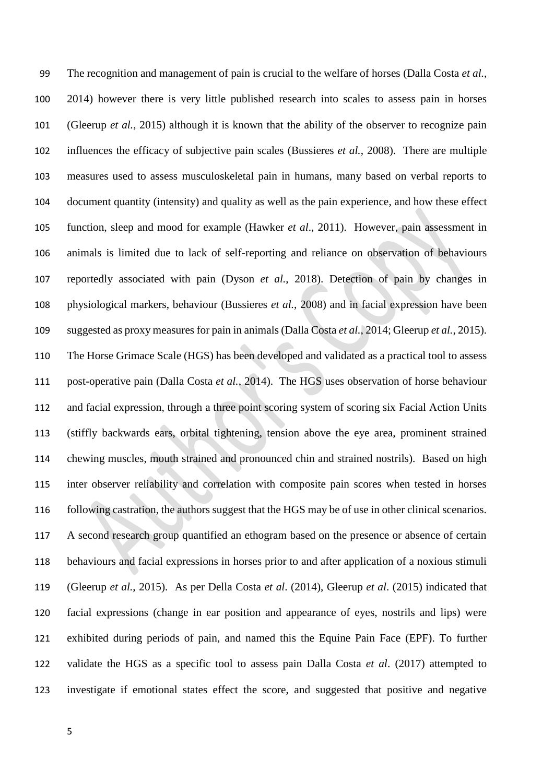The recognition and management of pain is crucial to the welfare of horses (Dalla Costa *et al.*, 2014) however there is very little published research into scales to assess pain in horses (Gleerup *et al.*, 2015) although it is known that the ability of the observer to recognize pain influences the efficacy of subjective pain scales (Bussieres *et al.*, 2008). There are multiple measures used to assess musculoskeletal pain in humans, many based on verbal reports to document quantity (intensity) and quality as well as the pain experience, and how these effect function, sleep and mood for example (Hawker *et al*., 2011). However, pain assessment in animals is limited due to lack of self-reporting and reliance on observation of behaviours reportedly associated with pain (Dyson *et al.*, 2018). Detection of pain by changes in physiological markers, behaviour (Bussieres *et al.*, 2008) and in facial expression have been suggested as proxy measures for pain in animals (Dalla Costa *et al.*, 2014; Gleerup *et al.*, 2015). The Horse Grimace Scale (HGS) has been developed and validated as a practical tool to assess post-operative pain (Dalla Costa *et al.*, 2014). The HGS uses observation of horse behaviour and facial expression, through a three point scoring system of scoring six Facial Action Units (stiffly backwards ears, orbital tightening, tension above the eye area, prominent strained chewing muscles, mouth strained and pronounced chin and strained nostrils). Based on high inter observer reliability and correlation with composite pain scores when tested in horses following castration, the authors suggest that the HGS may be of use in other clinical scenarios. A second research group quantified an ethogram based on the presence or absence of certain behaviours and facial expressions in horses prior to and after application of a noxious stimuli (Gleerup *et al.*, 2015). As per Della Costa *et al*. (2014), Gleerup *et al*. (2015) indicated that facial expressions (change in ear position and appearance of eyes, nostrils and lips) were exhibited during periods of pain, and named this the Equine Pain Face (EPF). To further validate the HGS as a specific tool to assess pain Dalla Costa *et al*. (2017) attempted to investigate if emotional states effect the score, and suggested that positive and negative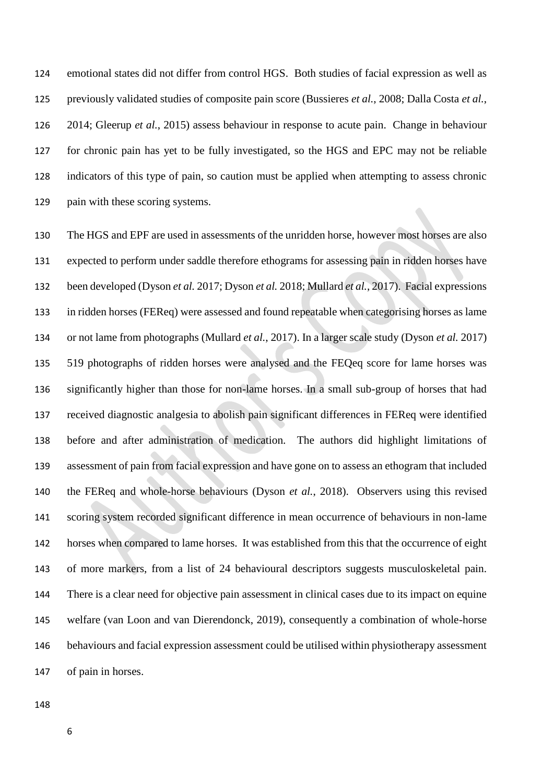emotional states did not differ from control HGS. Both studies of facial expression as well as previously validated studies of composite pain score (Bussieres *et al.*, 2008; Dalla Costa *et al.*, 2014; Gleerup *et al.*, 2015) assess behaviour in response to acute pain. Change in behaviour for chronic pain has yet to be fully investigated, so the HGS and EPC may not be reliable indicators of this type of pain, so caution must be applied when attempting to assess chronic pain with these scoring systems.

 The HGS and EPF are used in assessments of the unridden horse, however most horses are also expected to perform under saddle therefore ethograms for assessing pain in ridden horses have been developed (Dyson *et al.* 2017; Dyson *et al.* 2018; Mullard *et al.*, 2017). Facial expressions in ridden horses (FEReq) were assessed and found repeatable when categorising horses as lame or not lame from photographs (Mullard *et al.*, 2017). In a larger scale study (Dyson *et al.* 2017) 519 photographs of ridden horses were analysed and the FEQeq score for lame horses was significantly higher than those for non-lame horses. In a small sub-group of horses that had received diagnostic analgesia to abolish pain significant differences in FEReq were identified before and after administration of medication. The authors did highlight limitations of assessment of pain from facial expression and have gone on to assess an ethogram that included the FEReq and whole-horse behaviours (Dyson *et al.*, 2018). Observers using this revised scoring system recorded significant difference in mean occurrence of behaviours in non-lame horses when compared to lame horses. It was established from this that the occurrence of eight of more markers, from a list of 24 behavioural descriptors suggests musculoskeletal pain. There is a clear need for objective pain assessment in clinical cases due to its impact on equine welfare (van Loon and van Dierendonck, 2019), consequently a combination of whole-horse behaviours and facial expression assessment could be utilised within physiotherapy assessment of pain in horses.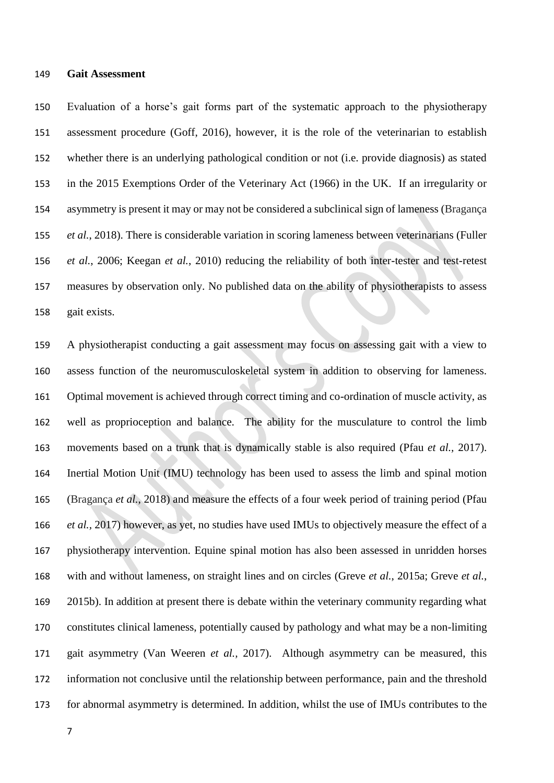#### **Gait Assessment**

 Evaluation of a horse's gait forms part of the systematic approach to the physiotherapy assessment procedure (Goff, 2016), however, it is the role of the veterinarian to establish whether there is an underlying pathological condition or not (i.e. provide diagnosis) as stated in the 2015 Exemptions Order of the Veterinary Act (1966) in the UK. If an irregularity or asymmetry is present it may or may not be considered a subclinical sign of lameness (Bragança *et al.*, 2018). There is considerable variation in scoring lameness between veterinarians (Fuller *et al.*, 2006; Keegan *et al.*, 2010) reducing the reliability of both inter-tester and test-retest measures by observation only. No published data on the ability of physiotherapists to assess gait exists.

 A physiotherapist conducting a gait assessment may focus on assessing gait with a view to assess function of the neuromusculoskeletal system in addition to observing for lameness. Optimal movement is achieved through correct timing and co-ordination of muscle activity, as well as proprioception and balance. The ability for the musculature to control the limb movements based on a trunk that is dynamically stable is also required (Pfau *et al.,* 2017). Inertial Motion Unit (IMU) technology has been used to assess the limb and spinal motion (Bragança *et al.*, 2018) and measure the effects of a four week period of training period (Pfau *et al.,* 2017) however, as yet, no studies have used IMUs to objectively measure the effect of a physiotherapy intervention. Equine spinal motion has also been assessed in unridden horses with and without lameness, on straight lines and on circles (Greve *et al.*, 2015a; Greve *et al.*, 2015b). In addition at present there is debate within the veterinary community regarding what constitutes clinical lameness, potentially caused by pathology and what may be a non-limiting gait asymmetry (Van Weeren *et al.,* 2017). Although asymmetry can be measured, this information not conclusive until the relationship between performance, pain and the threshold for abnormal asymmetry is determined. In addition, whilst the use of IMUs contributes to the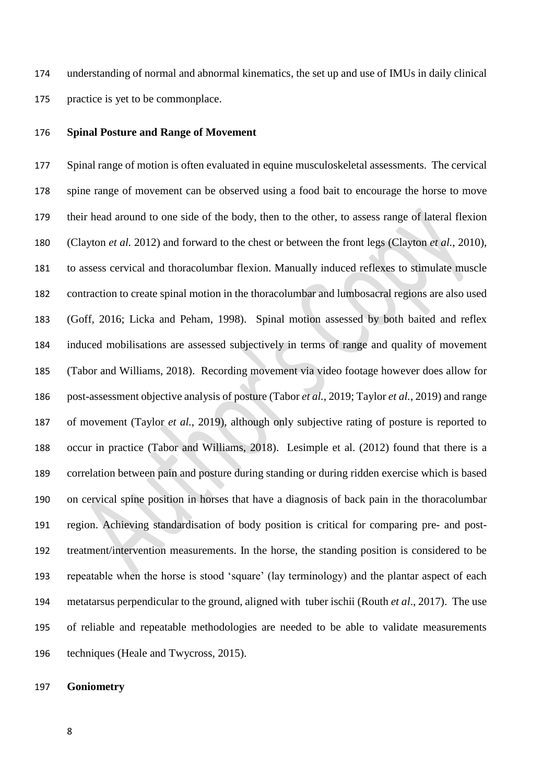understanding of normal and abnormal kinematics, the set up and use of IMUs in daily clinical practice is yet to be commonplace.

### **Spinal Posture and Range of Movement**

 Spinal range of motion is often evaluated in equine musculoskeletal assessments. The cervical spine range of movement can be observed using a food bait to encourage the horse to move their head around to one side of the body, then to the other, to assess range of lateral flexion (Clayton *et al.* 2012) and forward to the chest or between the front legs (Clayton *et al.*, 2010), to assess cervical and thoracolumbar flexion. Manually induced reflexes to stimulate muscle contraction to create spinal motion in the thoracolumbar and lumbosacral regions are also used (Goff, 2016; Licka and Peham, 1998). Spinal motion assessed by both baited and reflex induced mobilisations are assessed subjectively in terms of range and quality of movement (Tabor and Williams, 2018). Recording movement via video footage however does allow for post-assessment objective analysis of posture (Tabor *et al.*, 2019; Taylor *et al.*, 2019) and range of movement (Taylor *et al.*, 2019), although only subjective rating of posture is reported to occur in practice (Tabor and Williams, 2018). Lesimple et al. (2012) found that there is a correlation between pain and posture during standing or during ridden exercise which is based on cervical spine position in horses that have a diagnosis of back pain in the thoracolumbar region. Achieving standardisation of body position is critical for comparing pre- and post- treatment/intervention measurements. In the horse, the standing position is considered to be repeatable when the horse is stood 'square' (lay terminology) and the plantar aspect of each metatarsus perpendicular to the ground, aligned with tuber ischii (Routh *et al*., 2017). The use of reliable and repeatable methodologies are needed to be able to validate measurements techniques (Heale and Twycross, 2015).

### **Goniometry**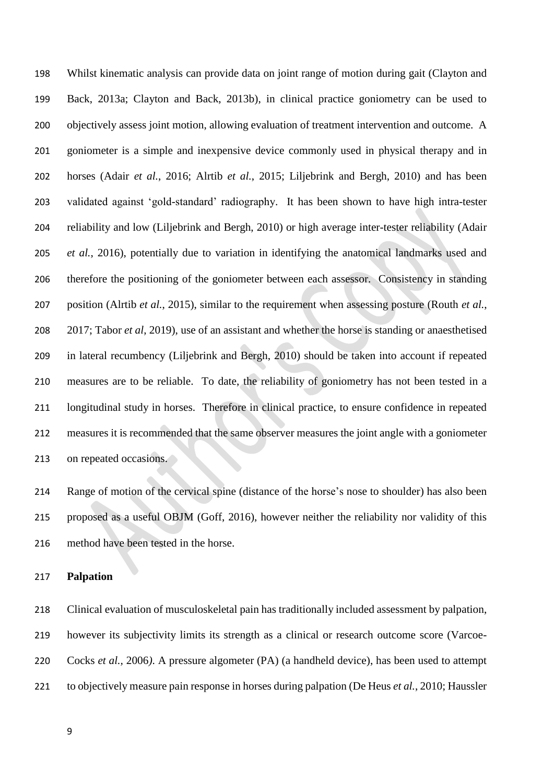Whilst kinematic analysis can provide data on joint range of motion during gait (Clayton and Back, 2013a; Clayton and Back, 2013b), in clinical practice goniometry can be used to objectively assess joint motion, allowing evaluation of treatment intervention and outcome. A goniometer is a simple and inexpensive device commonly used in physical therapy and in horses (Adair *et al.*, 2016; Alrtib *et al.*, 2015; Liljebrink and Bergh, 2010) and has been validated against 'gold-standard' radiography. It has been shown to have high intra-tester reliability and low (Liljebrink and Bergh, 2010) or high average inter-tester reliability (Adair *et al.*, 2016), potentially due to variation in identifying the anatomical landmarks used and therefore the positioning of the goniometer between each assessor. Consistency in standing position (Alrtib *et al.*, 2015), similar to the requirement when assessing posture (Routh *et al.*, 2017; Tabor *et al*, 2019), use of an assistant and whether the horse is standing or anaesthetised in lateral recumbency (Liljebrink and Bergh, 2010) should be taken into account if repeated measures are to be reliable. To date, the reliability of goniometry has not been tested in a longitudinal study in horses. Therefore in clinical practice, to ensure confidence in repeated measures it is recommended that the same observer measures the joint angle with a goniometer on repeated occasions.

 Range of motion of the cervical spine (distance of the horse's nose to shoulder) has also been proposed as a useful OBJM (Goff, 2016), however neither the reliability nor validity of this method have been tested in the horse.

### **Palpation**

 Clinical evaluation of musculoskeletal pain has traditionally included assessment by palpation, however its subjectivity limits its strength as a clinical or research outcome score (Varcoe- Cocks *et al.,* 2006*)*. A pressure algometer (PA) (a handheld device), has been used to attempt to objectively measure pain response in horses during palpation (De Heus *et al.*, 2010; Haussler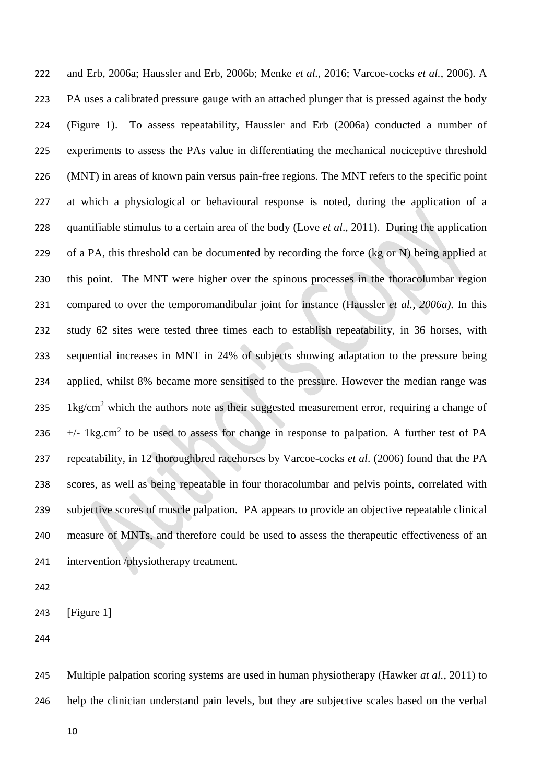and Erb, 2006a; Haussler and Erb, 2006b; Menke *et al.*, 2016; Varcoe-cocks *et al.*, 2006). A PA uses a calibrated pressure gauge with an attached plunger that is pressed against the body (Figure 1). To assess repeatability, Haussler and Erb (2006a) conducted a number of experiments to assess the PAs value in differentiating the mechanical nociceptive threshold (MNT) in areas of known pain versus pain-free regions. The MNT refers to the specific point at which a physiological or behavioural response is noted, during the application of a quantifiable stimulus to a certain area of the body (Love *et al*., 2011). During the application 229 of a PA, this threshold can be documented by recording the force  $(kg \text{ or } N)$  being applied at this point. The MNT were higher over the spinous processes in the thoracolumbar region compared to over the temporomandibular joint for instance (Haussler *et al., 2006a)*. In this study 62 sites were tested three times each to establish repeatability, in 36 horses, with sequential increases in MNT in 24% of subjects showing adaptation to the pressure being applied, whilst 8% became more sensitised to the pressure. However the median range was 235 1kg/cm<sup>2</sup> which the authors note as their suggested measurement error, requiring a change of +/- 1kg.cm<sup>2</sup> to be used to assess for change in response to palpation. A further test of PA repeatability, in 12 thoroughbred racehorses by Varcoe-cocks *et al*. (2006) found that the PA scores, as well as being repeatable in four thoracolumbar and pelvis points, correlated with subjective scores of muscle palpation. PA appears to provide an objective repeatable clinical measure of MNTs, and therefore could be used to assess the therapeutic effectiveness of an intervention /physiotherapy treatment.

[Figure 1]

 Multiple palpation scoring systems are used in human physiotherapy (Hawker *at al.*, 2011) to help the clinician understand pain levels, but they are subjective scales based on the verbal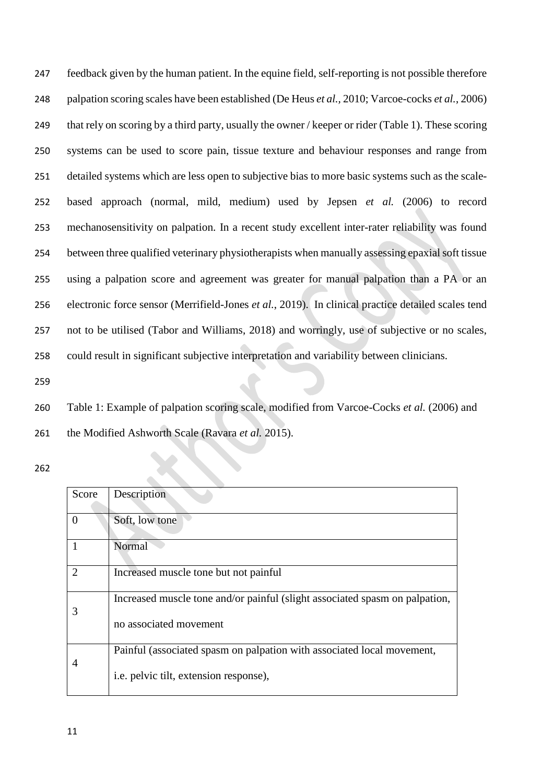feedback given by the human patient. In the equine field, self-reporting is not possible therefore palpation scoring scales have been established (De Heus *et al.,* 2010; Varcoe-cocks *et al.*, 2006) that rely on scoring by a third party, usually the owner / keeper or rider (Table 1). These scoring systems can be used to score pain, tissue texture and behaviour responses and range from detailed systems which are less open to subjective bias to more basic systems such as the scale- based approach (normal, mild, medium) used by Jepsen *et al.* (2006) to record mechanosensitivity on palpation. In a recent study excellent inter-rater reliability was found between three qualified veterinary physiotherapists when manually assessing epaxial soft tissue using a palpation score and agreement was greater for manual palpation than a PA or an electronic force sensor (Merrifield-Jones *et al.*, 2019). In clinical practice detailed scales tend not to be utilised (Tabor and Williams, 2018) and worringly, use of subjective or no scales, could result in significant subjective interpretation and variability between clinicians.

 Table 1: Example of palpation scoring scale, modified from Varcoe-Cocks *et al.* (2006) and the Modified Ashworth Scale (Ravara *et al.* 2015).

| Score          | Description                                                                 |
|----------------|-----------------------------------------------------------------------------|
| $\Omega$       | Soft, low tone                                                              |
|                | Normal                                                                      |
| $\overline{2}$ | Increased muscle tone but not painful                                       |
| 3              | Increased muscle tone and/or painful (slight associated spasm on palpation, |
|                | no associated movement                                                      |
| 4              | Painful (associated spasm on palpation with associated local movement,      |
|                | i.e. pelvic tilt, extension response),                                      |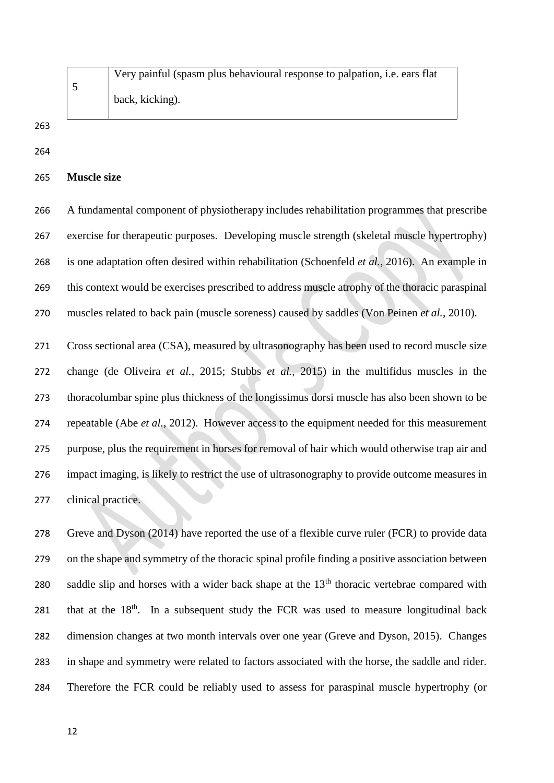Very painful (spasm plus behavioural response to palpation, i.e. ears flat back, kicking).

**Muscle size**

 A fundamental component of physiotherapy includes rehabilitation programmes that prescribe exercise for therapeutic purposes. Developing muscle strength (skeletal muscle hypertrophy) is one adaptation often desired within rehabilitation (Schoenfeld *et al.*, 2016). An example in this context would be exercises prescribed to address muscle atrophy of the thoracic paraspinal muscles related to back pain (muscle soreness) caused by saddles (Von Peinen *et al.*, 2010).

 Cross sectional area (CSA), measured by ultrasonography has been used to record muscle size change (de Oliveira *et al.*, 2015; Stubbs *et al.,* 2015) in the multifidus muscles in the thoracolumbar spine plus thickness of the longissimus dorsi muscle has also been shown to be repeatable (Abe *et al.*, 2012). However access to the equipment needed for this measurement purpose, plus the requirement in horses for removal of hair which would otherwise trap air and impact imaging, is likely to restrict the use of ultrasonography to provide outcome measures in clinical practice.

 Greve and Dyson (2014) have reported the use of a flexible curve ruler (FCR) to provide data on the shape and symmetry of the thoracic spinal profile finding a positive association between 280 saddle slip and horses with a wider back shape at the  $13<sup>th</sup>$  thoracic vertebrae compared with 281 that at the  $18<sup>th</sup>$ . In a subsequent study the FCR was used to measure longitudinal back dimension changes at two month intervals over one year (Greve and Dyson, 2015). Changes in shape and symmetry were related to factors associated with the horse, the saddle and rider. Therefore the FCR could be reliably used to assess for paraspinal muscle hypertrophy (or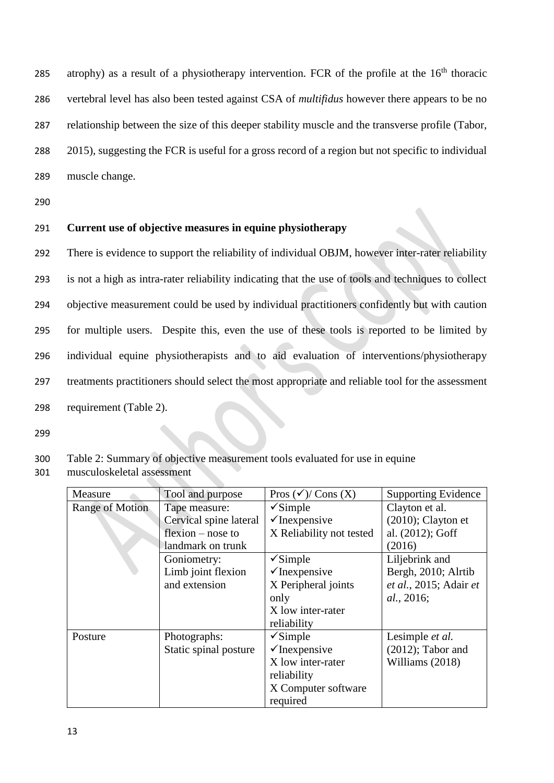atrophy) as a result of a physiotherapy intervention. FCR of the profile at the  $16<sup>th</sup>$  thoracic vertebral level has also been tested against CSA of *multifidus* however there appears to be no relationship between the size of this deeper stability muscle and the transverse profile (Tabor, 2015), suggesting the FCR is useful for a gross record of a region but not specific to individual muscle change.

290

## 291 **Current use of objective measures in equine physiotherapy**

 There is evidence to support the reliability of individual OBJM, however inter-rater reliability is not a high as intra-rater reliability indicating that the use of tools and techniques to collect objective measurement could be used by individual practitioners confidently but with caution for multiple users. Despite this, even the use of these tools is reported to be limited by individual equine physiotherapists and to aid evaluation of interventions/physiotherapy treatments practitioners should select the most appropriate and reliable tool for the assessment requirement (Table 2).

299

## 300 Table 2: Summary of objective measurement tools evaluated for use in equine

301 musculoskeletal assessment

| Measure         | Tool and purpose       | Pros $(\checkmark)$ Cons $(X)$ | <b>Supporting Evidence</b> |
|-----------------|------------------------|--------------------------------|----------------------------|
| Range of Motion | Tape measure:          | $\sqrt{\text{Simple}}$         | Clayton et al.             |
|                 | Cervical spine lateral | $\checkmark$ Inexpensive       | $(2010)$ ; Clayton et      |
|                 | $flexion - nose to$    | X Reliability not tested       | al. (2012); Goff           |
|                 | landmark on trunk      |                                | (2016)                     |
|                 | Goniometry:            | $\checkmark$ Simple            | Liljebrink and             |
|                 | Limb joint flexion     | $\checkmark$ Inexpensive       | Bergh, 2010; Alrtib        |
|                 | and extension          | X Peripheral joints            | et al., 2015; Adair et     |
|                 |                        | only                           | <i>al.</i> , 2016;         |
|                 |                        | X low inter-rater              |                            |
|                 |                        | reliability                    |                            |
| Posture         | Photographs:           | $\checkmark$ Simple            | Lesimple et al.            |
|                 | Static spinal posture  | $\checkmark$ Inexpensive       | $(2012)$ ; Tabor and       |
|                 |                        | X low inter-rater              | Williams (2018)            |
|                 |                        | reliability                    |                            |
|                 |                        | X Computer software            |                            |
|                 |                        | required                       |                            |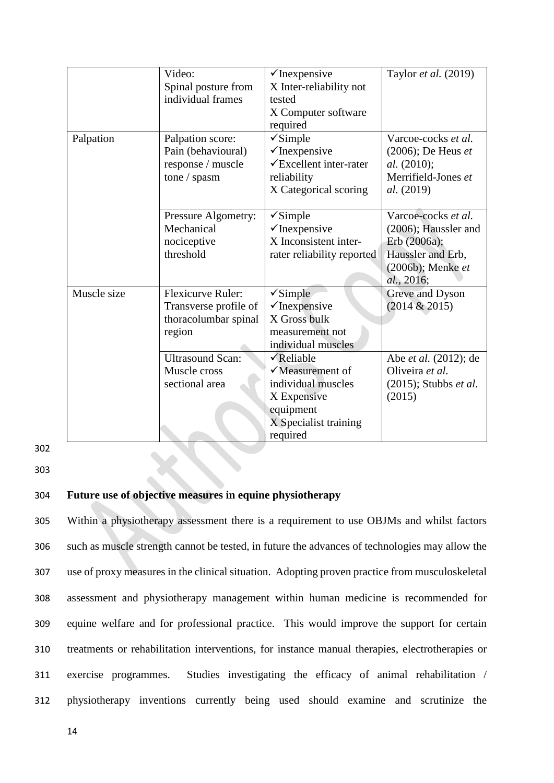|             | Video:                   | $\checkmark$ Inexpensive           | Taylor et al. (2019)     |
|-------------|--------------------------|------------------------------------|--------------------------|
|             | Spinal posture from      | X Inter-reliability not            |                          |
|             | individual frames        | tested                             |                          |
|             |                          | X Computer software                |                          |
|             |                          | required                           |                          |
| Palpation   | Palpation score:         | $\checkmark$ Simple                | Varcoe-cocks et al.      |
|             | Pain (behavioural)       | $\checkmark$ Inexpensive           | $(2006)$ ; De Heus et    |
|             | response / muscle        | $\checkmark$ Excellent inter-rater | <i>al.</i> (2010);       |
|             | tone / spasm             | reliability                        | Merrifield-Jones et      |
|             |                          | X Categorical scoring              | al. (2019)               |
|             |                          |                                    |                          |
|             | Pressure Algometry:      | $\checkmark$ Simple                | Varcoe-cocks et al.      |
|             | Mechanical               | $\checkmark$ Inexpensive           | (2006); Haussler and     |
|             | nociceptive              | X Inconsistent inter-              | Erb (2006a);             |
|             | threshold                | rater reliability reported         | Haussler and Erb,        |
|             |                          |                                    | (2006b); Menke et        |
|             |                          |                                    | al., 2016;               |
| Muscle size | <b>Flexicurve Ruler:</b> | $\sqrt{\text{Simple}}$             | Greve and Dyson          |
|             | Transverse profile of    | $\checkmark$ Inexpensive           | (2014 & 2015)            |
|             | thoracolumbar spinal     | X Gross bulk                       |                          |
|             | region                   | measurement not                    |                          |
|             |                          | individual muscles                 |                          |
|             | <b>Ultrasound Scan:</b>  | $\sqrt{\text{Reliable}}$           | Abe et al. (2012); de    |
|             | Muscle cross             | $\checkmark$ Measurement of        | Oliveira et al.          |
|             | sectional area           | individual muscles                 | $(2015)$ ; Stubbs et al. |
|             |                          | X Expensive                        | (2015)                   |
|             |                          | equipment                          |                          |
|             |                          | X Specialist training              |                          |
|             |                          | required                           |                          |

302

303

## 304 **Future use of objective measures in equine physiotherapy**

 Within a physiotherapy assessment there is a requirement to use OBJMs and whilst factors such as muscle strength cannot be tested, in future the advances of technologies may allow the use of proxy measures in the clinical situation. Adopting proven practice from musculoskeletal assessment and physiotherapy management within human medicine is recommended for equine welfare and for professional practice. This would improve the support for certain treatments or rehabilitation interventions, for instance manual therapies, electrotherapies or exercise programmes. Studies investigating the efficacy of animal rehabilitation / physiotherapy inventions currently being used should examine and scrutinize the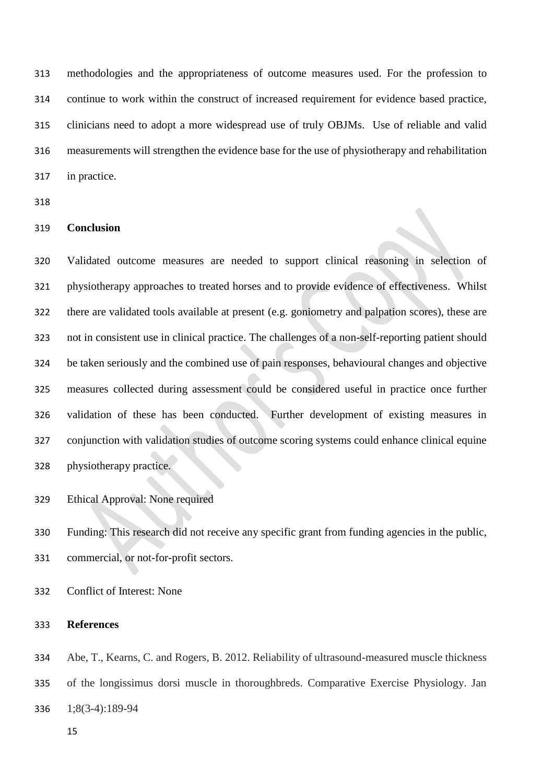methodologies and the appropriateness of outcome measures used. For the profession to continue to work within the construct of increased requirement for evidence based practice, clinicians need to adopt a more widespread use of truly OBJMs. Use of reliable and valid measurements will strengthen the evidence base for the use of physiotherapy and rehabilitation in practice.

### **Conclusion**

 Validated outcome measures are needed to support clinical reasoning in selection of physiotherapy approaches to treated horses and to provide evidence of effectiveness. Whilst there are validated tools available at present (e.g. goniometry and palpation scores), these are not in consistent use in clinical practice. The challenges of a non-self-reporting patient should be taken seriously and the combined use of pain responses, behavioural changes and objective measures collected during assessment could be considered useful in practice once further validation of these has been conducted. Further development of existing measures in conjunction with validation studies of outcome scoring systems could enhance clinical equine physiotherapy practice.

Ethical Approval: None required

 Funding: This research did not receive any specific grant from funding agencies in the public, commercial, or not-for-profit sectors.

Conflict of Interest: None

### **References**

 Abe, T., Kearns, C. and Rogers, B. 2012. Reliability of ultrasound-measured muscle thickness of the longissimus dorsi muscle in thoroughbreds. Comparative Exercise Physiology. Jan 1;8(3-4):189-94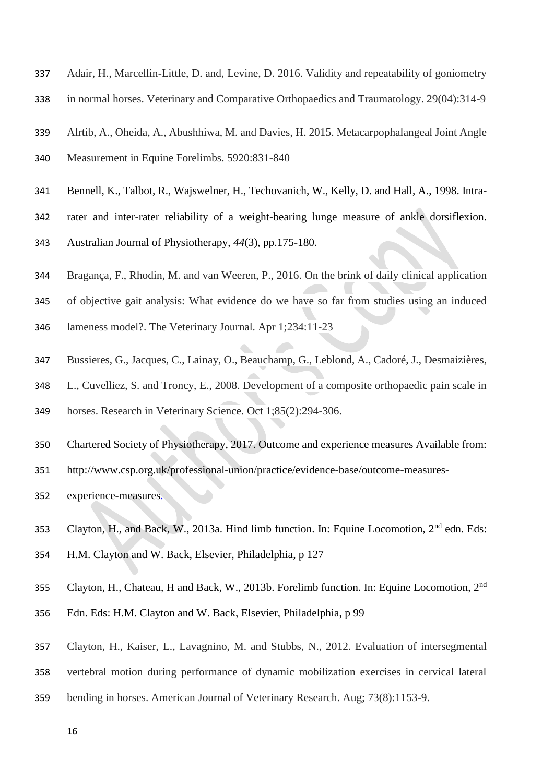- Adair, H., Marcellin-Little, D. and, Levine, D. 2016. Validity and repeatability of goniometry
- in normal horses. Veterinary and Comparative Orthopaedics and Traumatology. 29(04):314-9
- Alrtib, A., Oheida, A., Abushhiwa, M. and Davies, H. 2015. Metacarpophalangeal Joint Angle
- Measurement in Equine Forelimbs. 5920:831-840
- Bennell, K., Talbot, R., Wajswelner, H., Techovanich, W., Kelly, D. and Hall, A., 1998. Intra-
- rater and inter-rater reliability of a weight-bearing lunge measure of ankle dorsiflexion.
- Australian Journal of Physiotherapy, *44*(3), pp.175-180.
- Bragança, F., Rhodin, M. and van Weeren, P., 2016. On the brink of daily clinical application
- of objective gait analysis: What evidence do we have so far from studies using an induced
- lameness model?. The Veterinary Journal. Apr 1;234:11-23
- Bussieres, G., Jacques, C., Lainay, O., Beauchamp, G., Leblond, A., Cadoré, J., Desmaizières,
- L., Cuvelliez, S. and Troncy, E., 2008. Development of a composite orthopaedic pain scale in horses. Research in Veterinary Science. Oct 1;85(2):294-306.
- Chartered Society of Physiotherapy, 2017. Outcome and experience measures Available from:
- http://www.csp.org.uk/professional-union/practice/evidence-base/outcome-measures-
- experience-measures.
- 353 Clayton, H., and Back, W., 2013a. Hind limb function. In: Equine Locomotion,  $2^{nd}$  edn. Eds: H.M. Clayton and W. Back, Elsevier, Philadelphia, p 127
- 355 Clayton, H., Chateau, H and Back, W., 2013b. Forelimb function. In: Equine Locomotion, 2<sup>nd</sup>
- Edn. Eds: H.M. Clayton and W. Back, Elsevier, Philadelphia, p 99
- Clayton, H., Kaiser, L., Lavagnino, M. and Stubbs, N., 2012. Evaluation of intersegmental
- vertebral motion during performance of dynamic mobilization exercises in cervical lateral
- bending in horses. American Journal of Veterinary Research. Aug; 73(8):1153-9.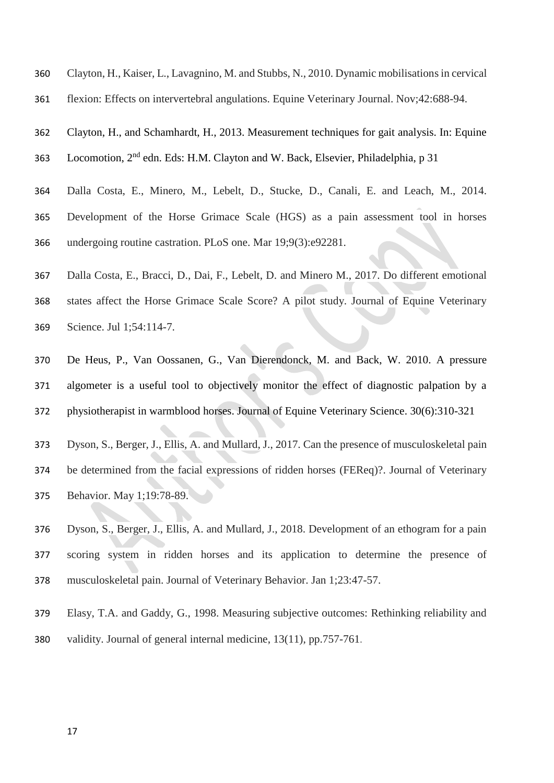- Clayton, H., Kaiser, L., Lavagnino, M. and Stubbs, N., 2010. Dynamic mobilisations in cervical
- flexion: Effects on intervertebral angulations. Equine Veterinary Journal. Nov;42:688-94.
- Clayton, H., and Schamhardt, H., 2013. Measurement techniques for gait analysis. In: Equine 363 Locomotion, 2<sup>nd</sup> edn. Eds: H.M. Clayton and W. Back, Elsevier, Philadelphia, p 31
- Dalla Costa, E., Minero, M., Lebelt, D., Stucke, D., Canali, E. and Leach, M., 2014. Development of the Horse Grimace Scale (HGS) as a pain assessment tool in horses undergoing routine castration. PLoS one. Mar 19;9(3):e92281.
- Dalla Costa, E., Bracci, D., Dai, F., Lebelt, D. and Minero M., 2017. Do different emotional states affect the Horse Grimace Scale Score? A pilot study. Journal of Equine Veterinary Science. Jul 1;54:114-7.
- De Heus, P., Van Oossanen, G., Van Dierendonck, M. and Back, W. 2010. A pressure algometer is a useful tool to objectively monitor the effect of diagnostic palpation by a physiotherapist in warmblood horses. Journal of Equine Veterinary Science. 30(6):310-321
- Dyson, S., Berger, J., Ellis, A. and Mullard, J., 2017. Can the presence of musculoskeletal pain be determined from the facial expressions of ridden horses (FEReq)?. Journal of Veterinary Behavior. May 1;19:78-89.
- Dyson, S., Berger, J., Ellis, A. and Mullard, J., 2018. Development of an ethogram for a pain scoring system in ridden horses and its application to determine the presence of musculoskeletal pain. Journal of Veterinary Behavior. Jan 1;23:47-57.
- Elasy, T.A. and Gaddy, G., 1998. Measuring subjective outcomes: Rethinking reliability and validity. Journal of general internal medicine, 13(11), pp.757-761.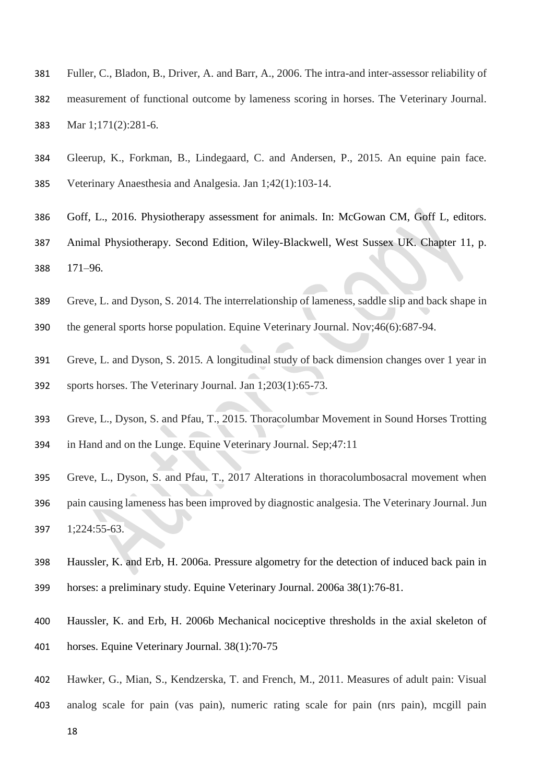- Fuller, C., Bladon, B., Driver, A. and Barr, A., 2006. The intra-and inter-assessor reliability of measurement of functional outcome by lameness scoring in horses. The Veterinary Journal. Mar 1;171(2):281-6.
- Gleerup, K., Forkman, B., Lindegaard, C. and Andersen, P., 2015. An equine pain face. Veterinary Anaesthesia and Analgesia. Jan 1;42(1):103-14.
- Goff, L., 2016. Physiotherapy assessment for animals. In: McGowan CM, Goff L, editors.
- Animal Physiotherapy. Second Edition, Wiley-Blackwell, West Sussex UK. Chapter 11, p. 171–96.
- Greve, L. and Dyson, S. 2014. The interrelationship of lameness, saddle slip and back shape in
- the general sports horse population. Equine Veterinary Journal. Nov;46(6):687-94.
- Greve, L. and Dyson, S. 2015. A longitudinal study of back dimension changes over 1 year in sports horses. The Veterinary Journal. Jan 1;203(1):65-73.
- Greve, L., Dyson, S. and Pfau, T., 2015. Thoracolumbar Movement in Sound Horses Trotting in Hand and on the Lunge. Equine Veterinary Journal. Sep;47:11
- Greve, L., Dyson, S. and Pfau, T., 2017 Alterations in thoracolumbosacral movement when pain causing lameness has been improved by diagnostic analgesia. The Veterinary Journal. Jun 1;224:55-63.
- Haussler, K. and Erb, H. 2006a. Pressure algometry for the detection of induced back pain in horses: a preliminary study. Equine Veterinary Journal. 2006a 38(1):76-81.
- Haussler, K. and Erb, H. 2006b Mechanical nociceptive thresholds in the axial skeleton of horses. Equine Veterinary Journal. 38(1):70-75
- Hawker, G., Mian, S., Kendzerska, T. and French, M., 2011. Measures of adult pain: Visual
- analog scale for pain (vas pain), numeric rating scale for pain (nrs pain), mcgill pain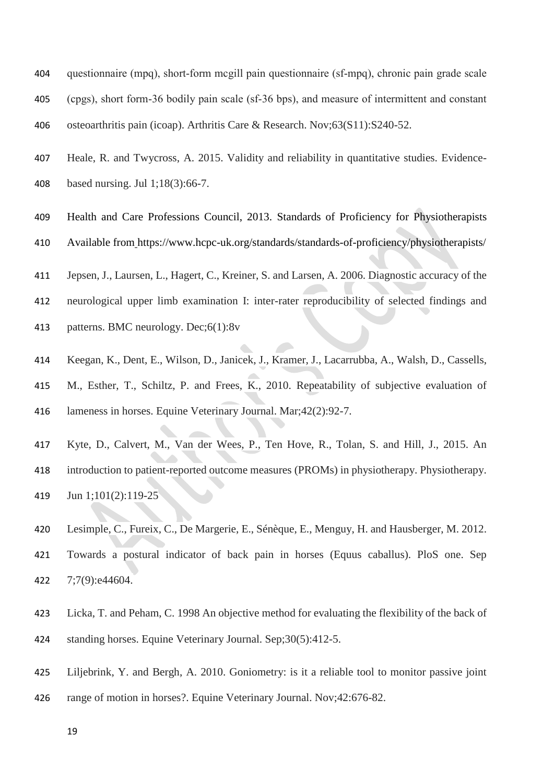- questionnaire (mpq), short‐form mcgill pain questionnaire (sf‐mpq), chronic pain grade scale (cpgs), short form‐36 bodily pain scale (sf‐36 bps), and measure of intermittent and constant osteoarthritis pain (icoap). Arthritis Care & Research. Nov;63(S11):S240-52.
- Heale, R. and Twycross, A. 2015. Validity and reliability in quantitative studies. Evidence-based nursing. Jul 1;18(3):66-7.
- Health and Care Professions Council, 2013. Standards of Proficiency for Physiotherapists Available from https://www.hcpc-uk.org/standards/standards-of-proficiency/physiotherapists/
- Jepsen, J., Laursen, L., Hagert, C., Kreiner, S. and Larsen, A. 2006. Diagnostic accuracy of the
- neurological upper limb examination I: inter-rater reproducibility of selected findings and
- patterns. BMC neurology. Dec;6(1):8v
- Keegan, K., Dent, E., Wilson, D., Janicek, J., Kramer, J., Lacarrubba, A., Walsh, D., Cassells, M., Esther, T., Schiltz, P. and Frees, K., 2010. Repeatability of subjective evaluation of lameness in horses. Equine Veterinary Journal. Mar;42(2):92-7.
- Kyte, D., Calvert, M., Van der Wees, P., Ten Hove, R., Tolan, S. and Hill, J., 2015. An introduction to patient-reported outcome measures (PROMs) in physiotherapy. Physiotherapy. Jun 1;101(2):119-25
- Lesimple, C., Fureix, C., De Margerie, E., Sénèque, E., Menguy, H. and Hausberger, M. 2012. Towards a postural indicator of back pain in horses (Equus caballus). PloS one. Sep 7;7(9):e44604.
- Licka, T. and Peham, C. 1998 An objective method for evaluating the flexibility of the back of standing horses. Equine Veterinary Journal. Sep;30(5):412-5.
- Liljebrink, Y. and Bergh, A. 2010. Goniometry: is it a reliable tool to monitor passive joint range of motion in horses?. Equine Veterinary Journal. Nov;42:676-82.
	-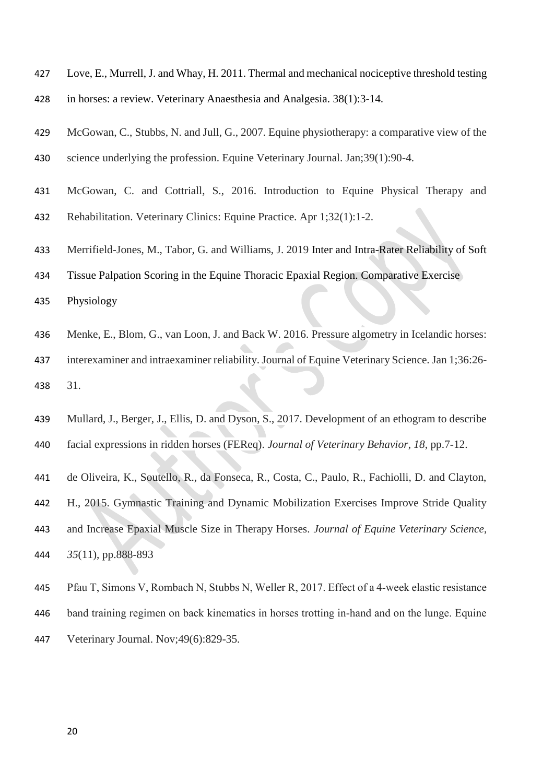- Love, E., Murrell, J. and Whay, H. 2011. Thermal and mechanical nociceptive threshold testing in horses: a review. Veterinary Anaesthesia and Analgesia. 38(1):3-14.
- McGowan, C., Stubbs, N. and Jull, G., 2007. Equine physiotherapy: a comparative view of the science underlying the profession. Equine Veterinary Journal. Jan;39(1):90-4.
- McGowan, C. and Cottriall, S., 2016. Introduction to Equine Physical Therapy and
- Rehabilitation. Veterinary Clinics: Equine Practice. Apr 1;32(1):1-2.
- Merrifield-Jones, M., Tabor, G. and Williams, J. 2019 Inter and Intra-Rater Reliability of Soft
- Tissue Palpation Scoring in the Equine Thoracic Epaxial Region. Comparative Exercise
- Physiology
- Menke, E., Blom, G., van Loon, J. and Back W. 2016. Pressure algometry in Icelandic horses:
- interexaminer and intraexaminer reliability. Journal of Equine Veterinary Science. Jan 1;36:26- 31.
- Mullard, J., Berger, J., Ellis, D. and Dyson, S., 2017. Development of an ethogram to describe facial expressions in ridden horses (FEReq). *Journal of Veterinary Behavior*, *18*, pp.7-12.
- de Oliveira, K., Soutello, R., da Fonseca, R., Costa, C., Paulo, R., Fachiolli, D. and Clayton, H., 2015. Gymnastic Training and Dynamic Mobilization Exercises Improve Stride Quality and Increase Epaxial Muscle Size in Therapy Horses. *Journal of Equine Veterinary Science*, *35*(11), pp.888-893
- Pfau T, Simons V, Rombach N, Stubbs N, Weller R, 2017. Effect of a 4‐week elastic resistance band training regimen on back kinematics in horses trotting in‐hand and on the lunge. Equine Veterinary Journal. Nov;49(6):829-35.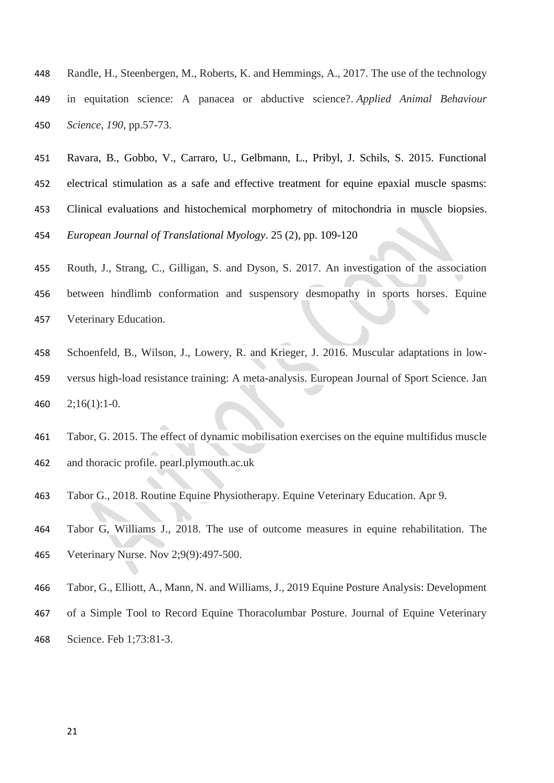- Randle, H., Steenbergen, M., Roberts, K. and Hemmings, A., 2017. The use of the technology in equitation science: A panacea or abductive science?. *Applied Animal Behaviour Science*, *190*, pp.57-73.
- Ravara, B., Gobbo, V., Carraro, U., Gelbmann, L., Pribyl, J. Schils, S. 2015. Functional electrical stimulation as a safe and effective treatment for equine epaxial muscle spasms: Clinical evaluations and histochemical morphometry of mitochondria in muscle biopsies. *European Journal of Translational Myology*. 25 (2), pp. 109-120
- Routh, J., Strang, C., Gilligan, S. and Dyson, S. 2017. An investigation of the association between hindlimb conformation and suspensory desmopathy in sports horses. Equine Veterinary Education.
- Schoenfeld, B., Wilson, J., Lowery, R. and Krieger, J. 2016. Muscular adaptations in low- versus high-load resistance training: A meta-analysis. European Journal of Sport Science. Jan 2;16(1):1-0.
- Tabor, G. 2015. The effect of dynamic mobilisation exercises on the equine multifidus muscle and thoracic profile. pearl.plymouth.ac.uk
- Tabor G., 2018. Routine Equine Physiotherapy. Equine Veterinary Education. Apr 9.
- Tabor G, Williams J., 2018. The use of outcome measures in equine rehabilitation. The Veterinary Nurse. Nov 2;9(9):497-500.
- Tabor, G., Elliott, A., Mann, N. and Williams, J., 2019 Equine Posture Analysis: Development
- of a Simple Tool to Record Equine Thoracolumbar Posture. Journal of Equine Veterinary Science. Feb 1;73:81-3.